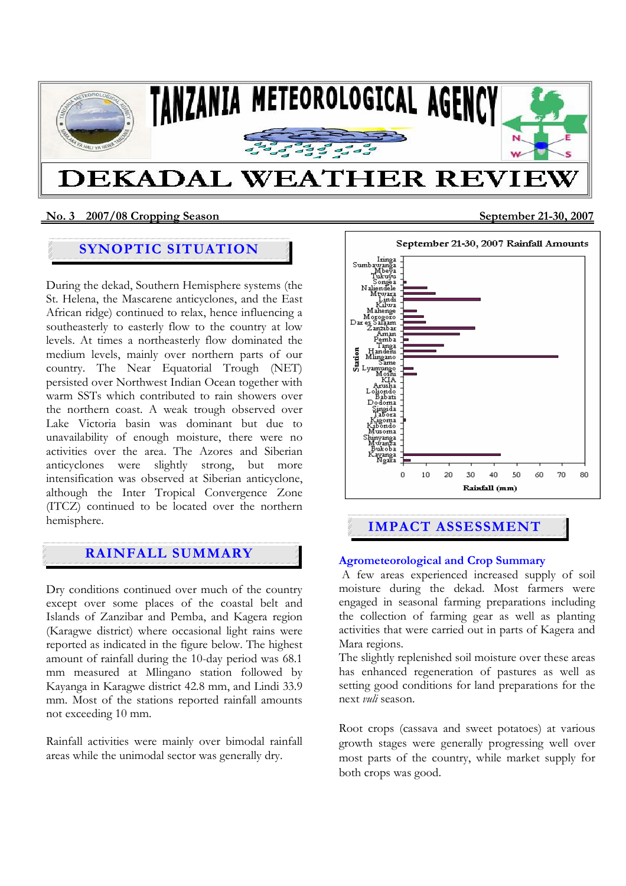

## **No. 3 2007/08 Cropping Season September 21-30, 2007**

Ī

# **SYNOPTIC SITUATION**

During the dekad, Southern Hemisphere systems (the St. Helena, the Mascarene anticyclones, and the East African ridge) continued to relax, hence influencing a southeasterly to easterly flow to the country at low levels. At times a northeasterly flow dominated the medium levels, mainly over northern parts of our country. The Near Equatorial Trough (NET) persisted over Northwest Indian Ocean together with warm SSTs which contributed to rain showers over the northern coast. A weak trough observed over Lake Victoria basin was dominant but due to unavailability of enough moisture, there were no activities over the area. The Azores and Siberian anticyclones were slightly strong, but more intensification was observed at Siberian anticyclone, although the Inter Tropical Convergence Zone (ITCZ) continued to be located over the northern hemisphere.

# **RAINFALL SUMMARY**

Dry conditions continued over much of the country except over some places of the coastal belt and Islands of Zanzibar and Pemba, and Kagera region (Karagwe district) where occasional light rains were reported as indicated in the figure below. The highest amount of rainfall during the 10-day period was 68.1 mm measured at Mlingano station followed by Kayanga in Karagwe district 42.8 mm, and Lindi 33.9 mm. Most of the stations reported rainfall amounts not exceeding 10 mm.

Rainfall activities were mainly over bimodal rainfall areas while the unimodal sector was generally dry.



# **IMPACT ASSESSMENT**

## **Agrometeorological and Crop Summary**

 A few areas experienced increased supply of soil moisture during the dekad. Most farmers were engaged in seasonal farming preparations including the collection of farming gear as well as planting activities that were carried out in parts of Kagera and Mara regions.

The slightly replenished soil moisture over these areas has enhanced regeneration of pastures as well as setting good conditions for land preparations for the next *vuli* season.

Root crops (cassava and sweet potatoes) at various growth stages were generally progressing well over most parts of the country, while market supply for both crops was good.